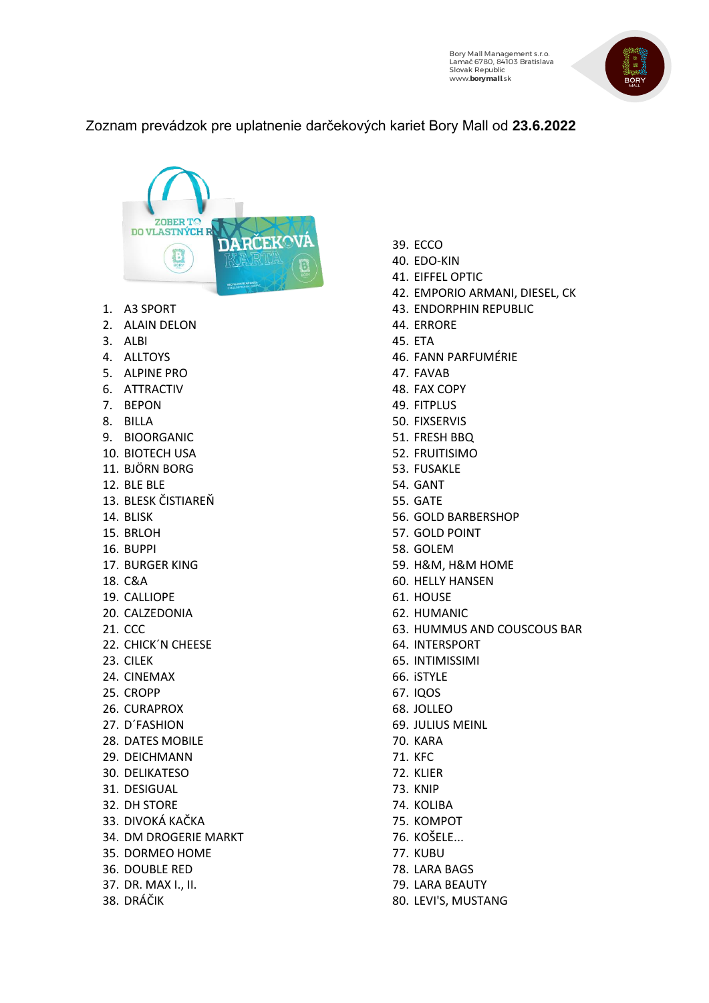

## Zoznam prevádzok pre uplatnenie darčekových kariet Bory Mall od **23.6.2022**

| <b>ZOBER TC</b><br><b>DO VLASTNÝCH R</b> |
|------------------------------------------|
| RČEKOV                                   |
|                                          |
|                                          |
| 1. A3 SPORT                              |
| 2. ALAIN DELON                           |
| 3. ALBI                                  |
| 4. ALLTOYS                               |
| 5. ALPINE PRO                            |
| 6. ATTRACTIV                             |
| 7. BEPON                                 |
| 8. BILLA                                 |
| 9. BIOORGANIC                            |
| 10. BIOTECH USA                          |
| 11. BJÖRN BORG                           |
| 12. BLE BLE<br>13. BLESK ČISTIAREŇ       |
| 14. BLISK                                |
| 15. BRLOH                                |
| 16. BUPPI                                |
| 17. BURGER KING                          |
| 18. C&A                                  |
| 19. CALLIOPE                             |
| 20. CALZEDONIA                           |
| 21. CCC                                  |
| 22. CHICK'N CHEESE                       |
| 23. CILEK                                |
| 24. CINEMAX                              |
| 25. CROPP                                |
| 26. CURAPROX                             |
| 27. D'FASHION                            |
| 28. DATES MOBILE                         |
| 29. DEICHMANN                            |
| 30. DELIKATESO                           |
| 31. DESIGUAL                             |
| 32. DH STORE<br>33. DIVOKÁ KAČKA         |
| 34. DM DROGERIE MARKT                    |
| 35. DORMEO HOME                          |
| 36. DOUBLE RED                           |
| 37. DR. MAX I., II.                      |
| 38. DRÁČIK                               |
|                                          |
|                                          |

- 39. ECCO
- 40. EDO-KIN
- 41. EIFFEL OPTIC
- 42. EMPORIO ARMANI, DIESEL, CK
- 43. ENDORPHIN REPUBLIC
- 44. ERRORE
- 45. ETA
- 46. FANN PARFUMÉRIE
- 47. FAVAB
- 48. FAX COPY
- 49. FITPLUS
- 50. FIXSERVIS
- 51. FRESH BBQ
- 52. FRUITISIMO
- 53. FUSAKLE
- 54. GANT
- 55. GATE
- 56. GOLD BARBERSHOP
- 57. GOLD POINT
- 58. GOLEM
- 59. H&M, H&M HOME
- 60. HELLY HANSEN
- 61. HOUSE
- 62. HUMANIC
- 63. HUMMUS AND COUSCOUS BAR
- 64. INTERSPORT
- 65. INTIMISSIMI
- 66. iSTYLE
- 67. IQOS
- 68. JOLLEO
- 69. JULIUS MEINL
- 70. KARA
- 71. KFC
- 72. KLIER
- 73. KNIP
- 74. KOLIBA
- 75. KOMPOT
- 76. KOŠELE...
- 77. KUBU
- 78. LARA BAGS
- 79. LARA BEAUTY
- 80. LEVI'S, MUSTANG